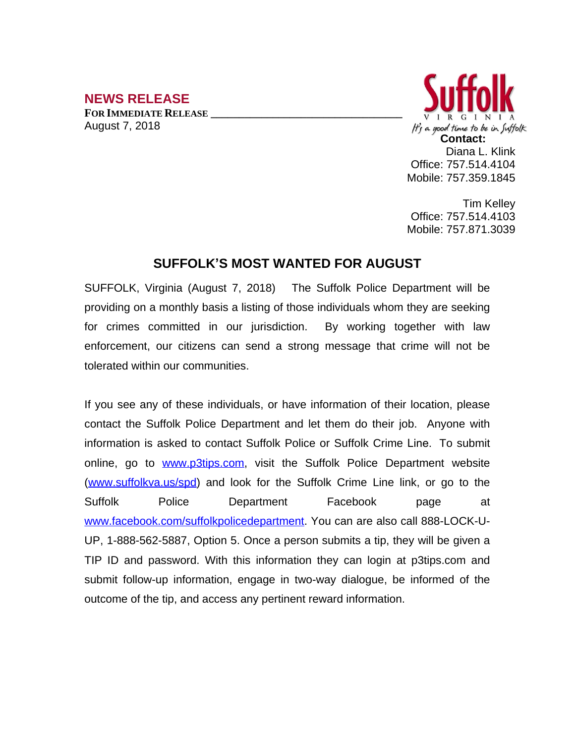## **NEWS RELEASE**

**FOR IMMEDIATE RELEASE \_\_\_\_\_\_\_\_\_\_\_\_\_\_\_\_\_\_\_\_\_\_\_\_\_\_\_\_\_\_\_\_\_\_** August 7, 2018



Tim Kelley Office: 757.514.4103 Mobile: 757.871.3039

## **SUFFOLK'S MOST WANTED FOR AUGUST**

SUFFOLK, Virginia (August 7, 2018) The Suffolk Police Department will be providing on a monthly basis a listing of those individuals whom they are seeking for crimes committed in our jurisdiction. By working together with law enforcement, our citizens can send a strong message that crime will not be tolerated within our communities.

If you see any of these individuals, or have information of their location, please contact the Suffolk Police Department and let them do their job. Anyone with information is asked to contact Suffolk Police or Suffolk Crime Line. To submit online, go to [www.p3tips.com](http://www.p3tips.com), visit the Suffolk Police Department website ([www.suffolkva.us/spd](http://www.suffolkva.us/spd)) and look for the Suffolk Crime Line link, or go to the Suffolk Police Department Facebook page at [www.facebook.com/suffolkpolicedepartment](http://www.facebook.com/suffolkpolicedepartment). You can are also call 888-LOCK-U-UP, 1-888-562-5887, Option 5. Once a person submits a tip, they will be given a TIP ID and password. With this information they can login at p3tips.com and submit follow-up information, engage in two-way dialogue, be informed of the outcome of the tip, and access any pertinent reward information.